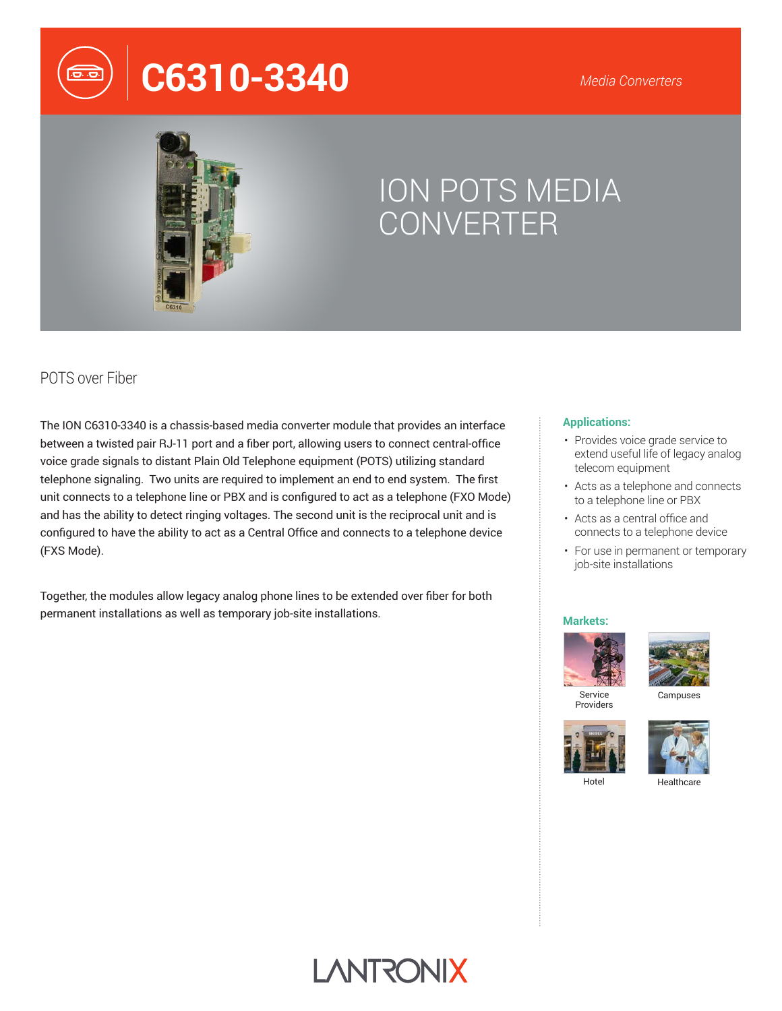# **C6310-3340**



## ION POTS MEDIA CONVERTER

## POTS over Fiber

The ION C6310-3340 is a chassis-based media converter module that provides an interface between a twisted pair RJ-11 port and a fiber port, allowing users to connect central-office voice grade signals to distant Plain Old Telephone equipment (POTS) utilizing standard telephone signaling. Two units are required to implement an end to end system. The first unit connects to a telephone line or PBX and is configured to act as a telephone (FXO Mode) and has the ability to detect ringing voltages. The second unit is the reciprocal unit and is configured to have the ability to act as a Central Office and connects to a telephone device (FXS Mode).

Together, the modules allow legacy analog phone lines to be extended over fiber for both permanent installations as well as temporary job-site installations.

#### **Applications:**

- Provides voice grade service to extend useful life of legacy analog telecom equipment
- Acts as a telephone and connects to a telephone line or PBX
- Acts as a central office and connects to a telephone device
- For use in permanent or temporary job-site installations

#### **Markets:**





Providers





Hotel

**Healthcare**